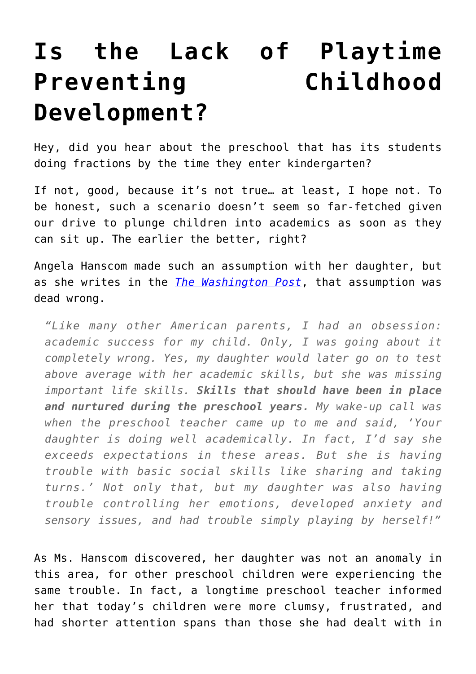## **[Is the Lack of Playtime](https://intellectualtakeout.org/2015/09/is-the-lack-of-playtime-preventing-childhood-development/) [Preventing Childhood](https://intellectualtakeout.org/2015/09/is-the-lack-of-playtime-preventing-childhood-development/) [Development?](https://intellectualtakeout.org/2015/09/is-the-lack-of-playtime-preventing-childhood-development/)**

Hey, did you hear about the preschool that has its students doing fractions by the time they enter kindergarten?

If not, good, because it's not true… at least, I hope not. To be honest, such a scenario doesn't seem so far-fetched given our drive to plunge children into academics as soon as they can sit up. The earlier the better, right?

Angela Hanscom made such an assumption with her daughter, but as she writes in the *[The Washington Post](http://www.washingtonpost.com/blogs/answer-sheet/wp/2015/09/01/the-decline-of-play-in-preschoolers-and-the-rise-in-sensory-issues/)*, that assumption was dead wrong.

*"Like many other American parents, I had an obsession: academic success for my child. Only, I was going about it completely wrong. Yes, my daughter would later go on to test above average with her academic skills, but she was missing important life skills. Skills that should have been in place and nurtured during the preschool years. My wake-up call was when the preschool teacher came up to me and said, 'Your daughter is doing well academically. In fact, I'd say she exceeds expectations in these areas. But she is having trouble with basic social skills like sharing and taking turns.' Not only that, but my daughter was also having trouble controlling her emotions, developed anxiety and sensory issues, and had trouble simply playing by herself!"*

As Ms. Hanscom discovered, her daughter was not an anomaly in this area, for other preschool children were experiencing the same trouble. In fact, a longtime preschool teacher informed her that today's children were more clumsy, frustrated, and had shorter attention spans than those she had dealt with in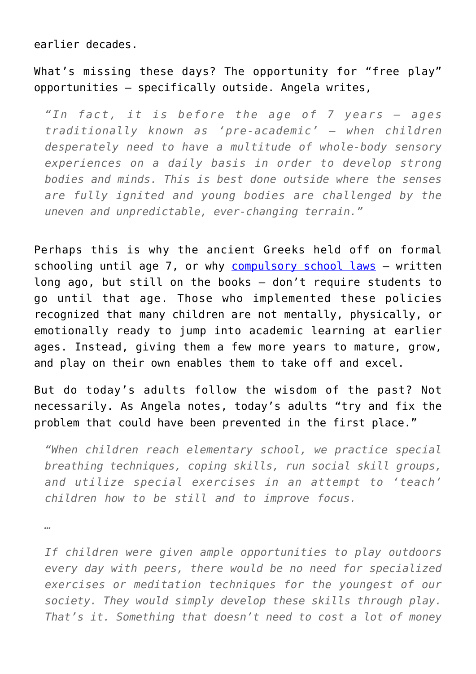earlier decades.

What's missing these days? The opportunity for "free play" opportunities – specifically outside. Angela writes,

*"In fact, it is before the age of 7 years — ages traditionally known as 'pre-academic' — when children desperately need to have a multitude of whole-body sensory experiences on a daily basis in order to develop strong bodies and minds. This is best done outside where the senses are fully ignited and young bodies are challenged by the uneven and unpredictable, ever-changing terrain."*

Perhaps this is why the ancient Greeks held off on formal schooling until age 7, or why [compulsory school laws](https://www.revisor.leg.state.mn.us/statutes/?id=120A.22) – written long ago, but still on the books – don't require students to go until that age. Those who implemented these policies recognized that many children are not mentally, physically, or emotionally ready to jump into academic learning at earlier ages. Instead, giving them a few more years to mature, grow, and play on their own enables them to take off and excel.

But do today's adults follow the wisdom of the past? Not necessarily. As Angela notes, today's adults "try and fix the problem that could have been prevented in the first place."

*"When children reach elementary school, we practice special breathing techniques, coping skills, run social skill groups, and utilize special exercises in an attempt to 'teach' children how to be still and to improve focus.*

*…*

*If children were given ample opportunities to play outdoors every day with peers, there would be no need for specialized exercises or meditation techniques for the youngest of our society. They would simply develop these skills through play. That's it. Something that doesn't need to cost a lot of money*